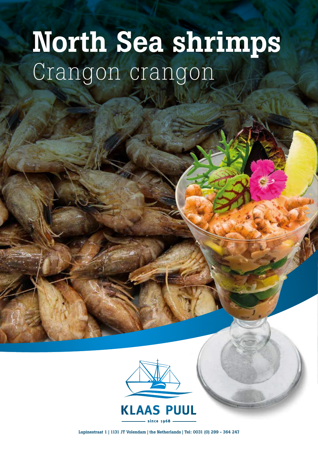## North Sea shrimps Crangon crangon



Lupinestraat 1 | 1131 JT Volendam | the Netherlands | Tel: 0031 (0) 299 - 364 247